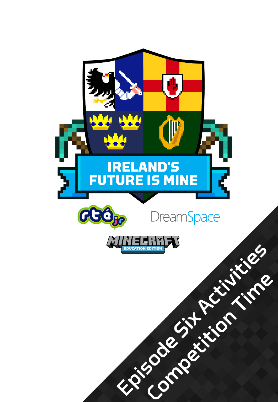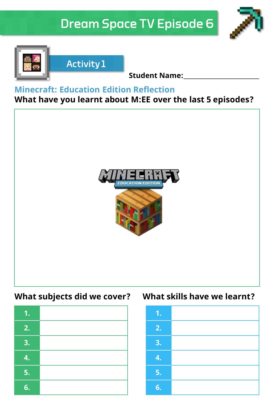# **Dream Space TV Episode 6**





**Student Name:**

### **Minecraft: Education Edition Reflection**

**Activity 1** 

# **What have you learnt about M:EE over the last 5 episodes?**



| 1. |  |
|----|--|
| 2. |  |
| 3. |  |
| 4. |  |
| 5. |  |
| 6. |  |

## **What subjects did we cover? What skills have we learnt?**

| 1. |  |
|----|--|
| 2. |  |
| 3. |  |
| 4. |  |
| 5. |  |
| 6. |  |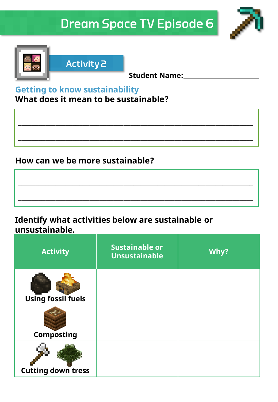# **Dream Space TV Episode 6**

**\_\_\_\_\_\_\_\_\_\_\_\_\_\_\_\_\_\_\_\_\_\_\_\_\_\_\_\_\_\_\_\_\_\_\_\_\_\_\_\_\_\_\_\_\_\_\_\_\_\_\_\_\_\_\_\_\_\_\_\_\_\_\_\_\_\_\_\_\_**

**\_\_\_\_\_\_\_\_\_\_\_\_\_\_\_\_\_\_\_\_\_\_\_\_\_\_\_\_\_\_\_\_\_\_\_\_\_\_\_\_\_\_\_\_\_\_\_\_\_\_\_\_\_\_\_\_\_\_\_\_\_\_\_\_\_\_\_\_\_**

**\_\_\_\_\_\_\_\_\_\_\_\_\_\_\_\_\_\_\_\_\_\_\_\_\_\_\_\_\_\_\_\_\_\_\_\_\_\_\_\_\_\_\_\_\_\_\_\_\_\_\_\_\_\_\_\_\_\_\_\_\_\_\_\_\_\_\_\_\_**

**\_\_\_\_\_\_\_\_\_\_\_\_\_\_\_\_\_\_\_\_\_\_\_\_\_\_\_\_\_\_\_\_\_\_\_\_\_\_\_\_\_\_\_\_\_\_\_\_\_\_\_\_\_\_\_\_\_\_\_\_\_\_\_\_\_\_\_\_\_**





**Activity 2** 

**Student Name:**

# **Getting to know sustainability**

**What does it mean to be sustainable?**

# **How can we be more sustainable?**

**Identify what activities below are sustainable or unsustainable.**

| <b>Activity</b>           | <b>Sustainable or</b><br><b>Unsustainable</b> | Why? |
|---------------------------|-----------------------------------------------|------|
| <b>Using fossil fuels</b> |                                               |      |
| Composting                |                                               |      |
| <b>Cutting down tress</b> |                                               |      |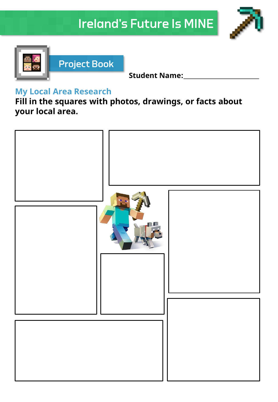# **Ireland's Future Is MINE**





**Student Name:**

### **My Local Area Research**

**Fill in the squares with photos, drawings, or facts about your local area.**

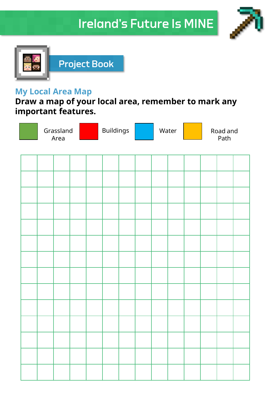# **Ireland's Future Is MINE**





#### **My Local Area Map**

**Draw a map of your local area, remember to mark any important features.**

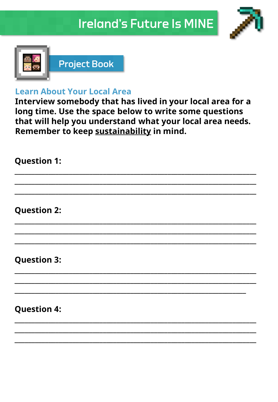



### **Learn About Your Local Area**

Interview somebody that has lived in your local area for a long time. Use the space below to write some questions that will help you understand what your local area needs. Remember to keep sustainability in mind.

| <b>Question 1:</b> |  |
|--------------------|--|
|                    |  |
|                    |  |
| <b>Question 2:</b> |  |
|                    |  |
|                    |  |
| <b>Question 3:</b> |  |
|                    |  |
|                    |  |
| <b>Question 4:</b> |  |
|                    |  |
|                    |  |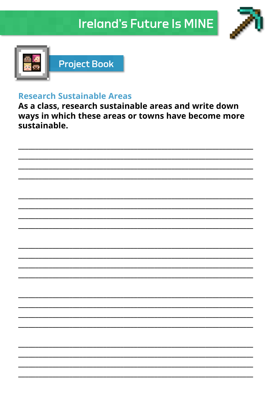



#### **Research Sustainable Areas**

As a class, research sustainable areas and write down ways in which these areas or towns have become more sustainable.

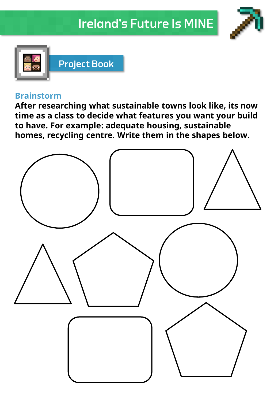



#### **Brainstorm**

**After researching what sustainable towns look like, its now time as a class to decide what features you want your build to have. For example: adequate housing, sustainable homes, recycling centre. Write them in the shapes below.**